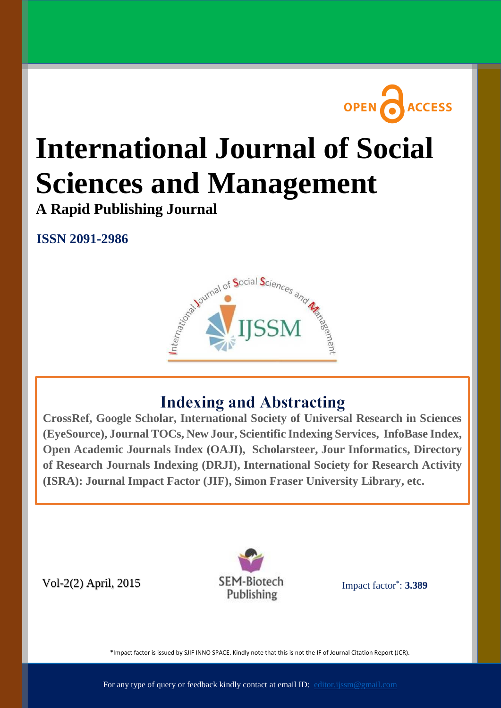

# **International Journal of Social Sciences and Management**

**A Rapid Publishing Journal**

**ISSN 2091-2986**



# **Indexing and Abstracting**

**Available online at: (EyeSource), Journal TOCs, New Jour, Scientific Indexing Services, InfoBase Index,** Open Academic Journals Index [\(OAJI\), Scholars](http://www.ijssm.org/)teer, Jour Informatics, Directory of Research Journals Indexing (DRJI), International Society for Research Activity  $\frac{1}{2}$ **CrossRef, Google Scholar, International Society of Universal Research in Sciences (ISRA): Journal Impact Factor (JIF), Simon Fraser University Library, etc.**

Vol-2(2) April, 2015



[Impact factor](http://www.sjifactor.inno-space.org/passport.php?id=1574)**\*** : **3.389**

\*Impact factor is issued by SJIF INNO SPACE. Kindly note that this is not the IF of Journal Citation Report (JCR).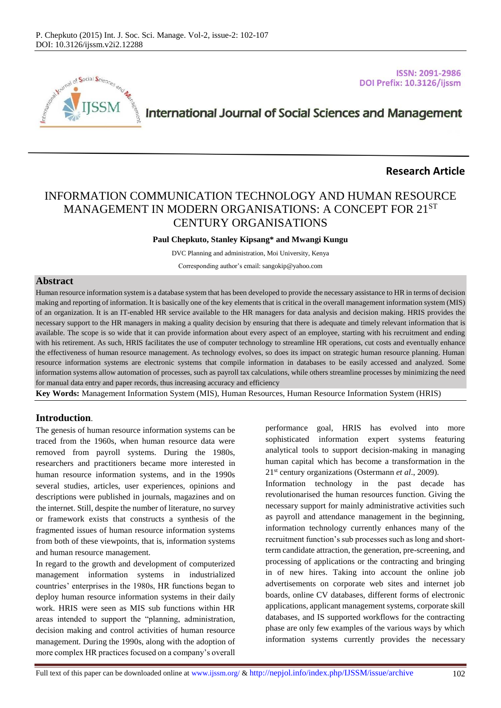

**ISSN: 2091-2986** DOI Prefix: 10.3126/ijssm

# **International Journal of Social Sciences and Management**

#### **Research Article**

## INFORMATION COMMUNICATION TECHNOLOGY AND HUMAN RESOURCE MANAGEMENT IN MODERN ORGANISATIONS: A CONCEPT FOR 21ST CENTURY ORGANISATIONS

#### **Paul Chepkuto, Stanley Kipsang\* and Mwangi Kungu**

DVC Planning and administration, Moi University, Kenya

Corresponding author's email: sangokip@yahoo.com

#### **Abstract**

Human resource information system is a database system that has been developed to provide the necessary assistance to HR in terms of decision making and reporting of information. It is basically one of the key elements that is critical in the overall management information system (MIS) of an organization. It is an IT-enabled HR service available to the HR managers for data analysis and decision making. HRIS provides the necessary support to the HR managers in making a quality decision by ensuring that there is adequate and timely relevant information that is available. The scope is so wide that it can provide information about every aspect of an employee, starting with his recruitment and ending with his retirement. As such, HRIS facilitates the use of computer technology to streamline HR operations, cut costs and eventually enhance the effectiveness of human resource management. As technology evolves, so does its impact on strategic human resource planning. Human resource information systems are electronic systems that compile information in databases to be easily accessed and analyzed. Some information systems allow automation of processes, such as payroll tax calculations, while others streamline processes by minimizing the need for manual data entry and paper records, thus increasing accuracy and efficiency

**Key Words:** Management Information System (MIS), Human Resources, Human Resource Information System (HRIS)

#### **Introduction**.

The genesis of human resource information systems can be traced from the 1960s, when human resource data were removed from payroll systems. During the 1980s, researchers and practitioners became more interested in human resource information systems, and in the 1990s several studies, articles, user experiences, opinions and descriptions were published in journals, magazines and on the internet. Still, despite the number of literature, no survey or framework exists that constructs a synthesis of the fragmented issues of human resource information systems from both of these viewpoints, that is, information systems and human resource management.

In regard to the growth and development of computerized management information systems in industrialized countries' enterprises in the 1980s, HR functions began to deploy human resource information systems in their daily work. HRIS were seen as MIS sub functions within HR areas intended to support the "planning, administration, decision making and control activities of human resource management. During the 1990s, along with the adoption of more complex HR practices focused on a company's overall

performance goal, HRIS has evolved into more sophisticated information expert systems featuring analytical tools to support decision-making in managing human capital which has become a transformation in the 21st century organizations (Ostermann *et al*., 2009).

Information technology in the past decade has revolutionarised the human resources function. Giving the necessary support for mainly administrative activities such as payroll and attendance management in the beginning, information technology currently enhances many of the recruitment function's sub processes such as long and shortterm candidate attraction, the generation, pre-screening, and processing of applications or the contracting and bringing in of new hires. Taking into account the online job advertisements on corporate web sites and internet job boards, online CV databases, different forms of electronic applications, applicant management systems, corporate skill databases, and IS supported workflows for the contracting phase are only few examples of the various ways by which information systems currently provides the necessary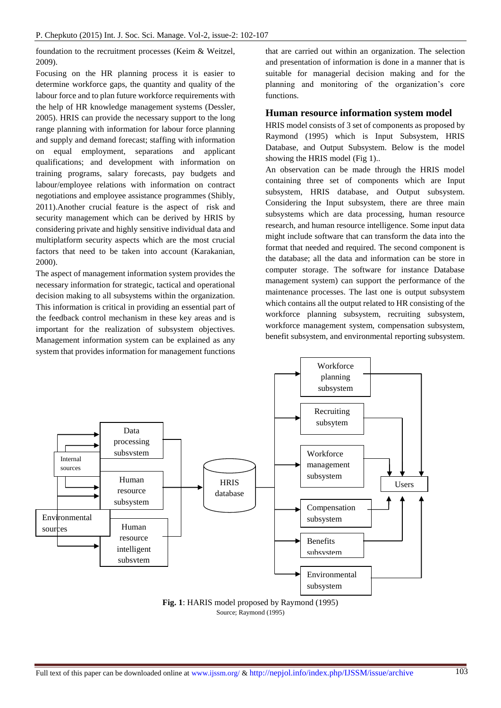foundation to the recruitment processes (Keim & Weitzel, 2009).

Focusing on the HR planning process it is easier to determine workforce gaps, the quantity and quality of the labour force and to plan future workforce requirements with the help of HR knowledge management systems (Dessler, 2005). HRIS can provide the necessary support to the long range planning with information for labour force planning and supply and demand forecast; staffing with information on equal employment, separations and applicant qualifications; and development with information on training programs, salary forecasts, pay budgets and labour/employee relations with information on contract negotiations and employee assistance programmes (Shibly, 2011).Another crucial feature is the aspect of risk and security management which can be derived by HRIS by considering private and highly sensitive individual data and multiplatform security aspects which are the most crucial factors that need to be taken into account (Karakanian, 2000).

The aspect of management information system provides the necessary information for strategic, tactical and operational decision making to all subsystems within the organization. This information is critical in providing an essential part of the feedback control mechanism in these key areas and is important for the realization of subsystem objectives. Management information system can be explained as any system that provides information for management functions

that are carried out within an organization. The selection and presentation of information is done in a manner that is suitable for managerial decision making and for the planning and monitoring of the organization's core functions.

#### **Human resource information system model**

HRIS model consists of 3 set of components as proposed by Raymond (1995) which is Input Subsystem, HRIS Database, and Output Subsystem. Below is the model showing the HRIS model (Fig 1)..

An observation can be made through the HRIS model containing three set of components which are Input subsystem, HRIS database, and Output subsystem. Considering the Input subsystem, there are three main subsystems which are data processing, human resource research, and human resource intelligence. Some input data might include software that can transform the data into the format that needed and required. The second component is the database; all the data and information can be store in computer storage. The software for instance Database management system) can support the performance of the maintenance processes. The last one is output subsystem which contains all the output related to HR consisting of the workforce planning subsystem, recruiting subsystem, workforce management system, compensation subsystem, benefit subsystem, and environmental reporting subsystem.

**Workforce** 



**Fig. 1**: HARIS model proposed by Raymond (1995) Source; Raymond (1995)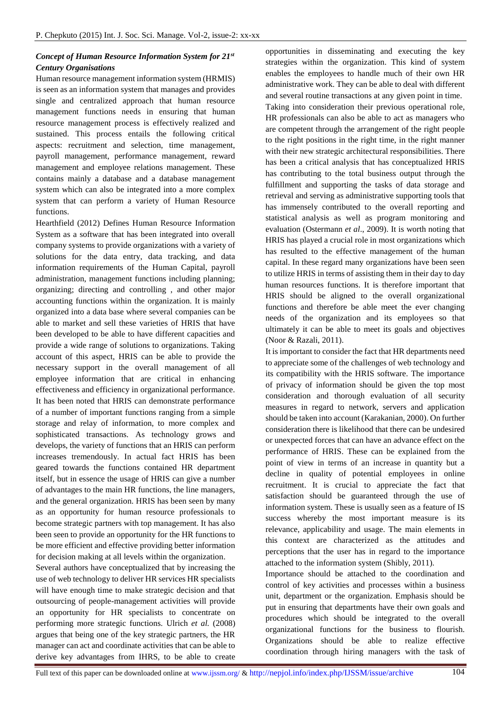#### *Concept of Human Resource Information System for 21st Century Organisations*

Human resource management information system (HRMIS) is seen as an information system that manages and provides single and centralized approach that human resource management functions needs in ensuring that human resource management process is effectively realized and sustained. This process entails the following critical aspects: recruitment and selection, time management, payroll management, performance management, reward management and employee relations management. These contains mainly a database and a database management system which can also be integrated into a more complex system that can perform a variety of Human Resource functions.

Hearthfield (2012) Defines Human Resource Information System as a software that has been integrated into overall company systems to provide organizations with a variety of solutions for the data entry, data tracking, and data information requirements of the Human Capital, payroll administration, management functions including planning; organizing; directing and controlling , and other major accounting functions within the organization. It is mainly organized into a data base where several companies can be able to market and sell these varieties of HRIS that have been developed to be able to have different capacities and provide a wide range of solutions to organizations. Taking account of this aspect, HRIS can be able to provide the necessary support in the overall management of all employee information that are critical in enhancing effectiveness and efficiency in organizational performance. It has been noted that HRIS can demonstrate performance of a number of important functions ranging from a simple storage and relay of information, to more complex and sophisticated transactions. As technology grows and develops, the variety of functions that an HRIS can perform increases tremendously. In actual fact HRIS has been geared towards the functions contained HR department itself, but in essence the usage of HRIS can give a number of advantages to the main HR functions, the line managers, and the general organization. HRIS has been seen by many as an opportunity for human resource professionals to become strategic partners with top management. It has also been seen to provide an opportunity for the HR functions to be more efficient and effective providing better information for decision making at all levels within the organization.

Several authors have conceptualized that by increasing the use of web technology to deliver HR services HR specialists will have enough time to make strategic decision and that outsourcing of people-management activities will provide an opportunity for HR specialists to concentrate on performing more strategic functions. Ulrich *et al.* (2008) argues that being one of the key strategic partners, the HR manager can act and coordinate activities that can be able to derive key advantages from IHRS, to be able to create

opportunities in disseminating and executing the key strategies within the organization. This kind of system enables the employees to handle much of their own HR administrative work. They can be able to deal with different and several routine transactions at any given point in time. Taking into consideration their previous operational role, HR professionals can also be able to act as managers who are competent through the arrangement of the right people to the right positions in the right time, in the right manner with their new strategic architectural responsibilities. There has been a critical analysis that has conceptualized HRIS has contributing to the total business output through the fulfillment and supporting the tasks of data storage and retrieval and serving as administrative supporting tools that has immensely contributed to the overall reporting and statistical analysis as well as program monitoring and evaluation (Ostermann *et al*., 2009). It is worth noting that HRIS has played a crucial role in most organizations which has resulted to the effective management of the human capital. In these regard many organizations have been seen to utilize HRIS in terms of assisting them in their day to day human resources functions. It is therefore important that HRIS should be aligned to the overall organizational functions and therefore be able meet the ever changing needs of the organization and its employees so that ultimately it can be able to meet its goals and objectives (Noor & Razali, 2011).

It is important to consider the fact that HR departments need to appreciate some of the challenges of web technology and its compatibility with the HRIS software. The importance of privacy of information should be given the top most consideration and thorough evaluation of all security measures in regard to network, servers and application should be taken into account (Karakanian, 2000). On further consideration there is likelihood that there can be undesired or unexpected forces that can have an advance effect on the performance of HRIS. These can be explained from the point of view in terms of an increase in quantity but a decline in quality of potential employees in online recruitment. It is crucial to appreciate the fact that satisfaction should be guaranteed through the use of information system. These is usually seen as a feature of IS success whereby the most important measure is its relevance, applicability and usage. The main elements in this context are characterized as the attitudes and perceptions that the user has in regard to the importance attached to the information system (Shibly, 2011).

Importance should be attached to the coordination and control of key activities and processes within a business unit, department or the organization. Emphasis should be put in ensuring that departments have their own goals and procedures which should be integrated to the overall organizational functions for the business to flourish. Organizations should be able to realize effective coordination through hiring managers with the task of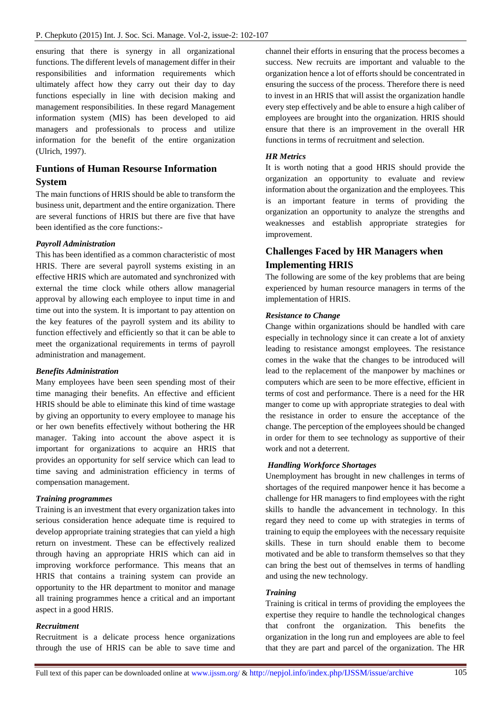ensuring that there is synergy in all organizational functions. The different levels of management differ in their responsibilities and information requirements which ultimately affect how they carry out their day to day functions especially in line with decision making and management responsibilities. In these regard Management information system (MIS) has been developed to aid managers and professionals to process and utilize information for the benefit of the entire organization (Ulrich, 1997).

## **Funtions of Human Resourse Information System**

The main functions of HRIS should be able to transform the business unit, department and the entire organization. There are several functions of HRIS but there are five that have been identified as the core functions:-

#### *Payroll Administration*

This has been identified as a common characteristic of most HRIS. There are several payroll systems existing in an effective HRIS which are automated and synchronized with external the time clock while others allow managerial approval by allowing each employee to input time in and time out into the system. It is important to pay attention on the key features of the payroll system and its ability to function effectively and efficiently so that it can be able to meet the organizational requirements in terms of payroll administration and management.

#### *Benefits Administration*

Many employees have been seen spending most of their time managing their benefits. An effective and efficient HRIS should be able to eliminate this kind of time wastage by giving an opportunity to every employee to manage his or her own benefits effectively without bothering the HR manager. Taking into account the above aspect it is important for organizations to acquire an HRIS that provides an opportunity for self service which can lead to time saving and administration efficiency in terms of compensation management.

#### *Training programmes*

Training is an investment that every organization takes into serious consideration hence adequate time is required to develop appropriate training strategies that can yield a high return on investment. These can be effectively realized through having an appropriate HRIS which can aid in improving workforce performance. This means that an HRIS that contains a training system can provide an opportunity to the HR department to monitor and manage all training programmes hence a critical and an important aspect in a good HRIS.

#### *Recruitment*

Recruitment is a delicate process hence organizations through the use of HRIS can be able to save time and channel their efforts in ensuring that the process becomes a success. New recruits are important and valuable to the organization hence a lot of efforts should be concentrated in ensuring the success of the process. Therefore there is need to invest in an HRIS that will assist the organization handle every step effectively and be able to ensure a high caliber of employees are brought into the organization. HRIS should ensure that there is an improvement in the overall HR functions in terms of recruitment and selection.

#### *HR Metrics*

It is worth noting that a good HRIS should provide the organization an opportunity to evaluate and review information about the organization and the employees. This is an important feature in terms of providing the organization an opportunity to analyze the strengths and weaknesses and establish appropriate strategies for improvement.

## **Challenges Faced by HR Managers when Implementing HRIS**

The following are some of the key problems that are being experienced by human resource managers in terms of the implementation of HRIS.

#### *Resistance to Change*

Change within organizations should be handled with care especially in technology since it can create a lot of anxiety leading to resistance amongst employees. The resistance comes in the wake that the changes to be introduced will lead to the replacement of the manpower by machines or computers which are seen to be more effective, efficient in terms of cost and performance. There is a need for the HR manger to come up with appropriate strategies to deal with the resistance in order to ensure the acceptance of the change. The perception of the employees should be changed in order for them to see technology as supportive of their work and not a deterrent.

#### *Handling Workforce Shortages*

Unemployment has brought in new challenges in terms of shortages of the required manpower hence it has become a challenge for HR managers to find employees with the right skills to handle the advancement in technology. In this regard they need to come up with strategies in terms of training to equip the employees with the necessary requisite skills. These in turn should enable them to become motivated and be able to transform themselves so that they can bring the best out of themselves in terms of handling and using the new technology.

#### *Training*

Training is critical in terms of providing the employees the expertise they require to handle the technological changes that confront the organization. This benefits the organization in the long run and employees are able to feel that they are part and parcel of the organization. The HR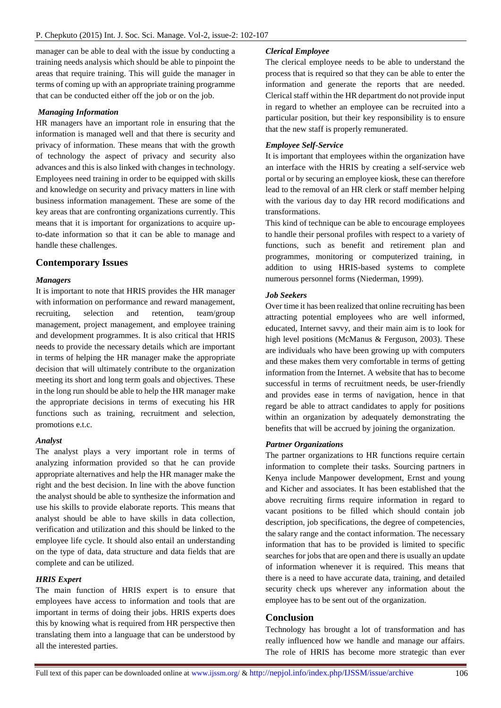manager can be able to deal with the issue by conducting a training needs analysis which should be able to pinpoint the areas that require training. This will guide the manager in terms of coming up with an appropriate training programme that can be conducted either off the job or on the job.

#### *Managing Information*

HR managers have an important role in ensuring that the information is managed well and that there is security and privacy of information. These means that with the growth of technology the aspect of privacy and security also advances and this is also linked with changes in technology. Employees need training in order to be equipped with skills and knowledge on security and privacy matters in line with business information management. These are some of the key areas that are confronting organizations currently. This means that it is important for organizations to acquire upto-date information so that it can be able to manage and handle these challenges.

#### **Contemporary Issues**

#### *Managers*

It is important to note that HRIS provides the HR manager with information on performance and reward management, recruiting, selection and retention, team/group management, project management, and employee training and development programmes. It is also critical that HRIS needs to provide the necessary details which are important in terms of helping the HR manager make the appropriate decision that will ultimately contribute to the organization meeting its short and long term goals and objectives. These in the long run should be able to help the HR manager make the appropriate decisions in terms of executing his HR functions such as training, recruitment and selection, promotions e.t.c.

#### *Analyst*

The analyst plays a very important role in terms of analyzing information provided so that he can provide appropriate alternatives and help the HR manager make the right and the best decision. In line with the above function the analyst should be able to synthesize the information and use his skills to provide elaborate reports. This means that analyst should be able to have skills in data collection, verification and utilization and this should be linked to the employee life cycle. It should also entail an understanding on the type of data, data structure and data fields that are complete and can be utilized.

#### *HRIS Expert*

The main function of HRIS expert is to ensure that employees have access to information and tools that are important in terms of doing their jobs. HRIS experts does this by knowing what is required from HR perspective then translating them into a language that can be understood by all the interested parties.

#### *Clerical Employee*

The clerical employee needs to be able to understand the process that is required so that they can be able to enter the information and generate the reports that are needed. Clerical staff within the HR department do not provide input in regard to whether an employee can be recruited into a particular position, but their key responsibility is to ensure that the new staff is properly remunerated.

#### *Employee Self-Service*

It is important that employees within the organization have an interface with the HRIS by creating a self-service web portal or by securing an employee kiosk, these can therefore lead to the removal of an HR clerk or staff member helping with the various day to day HR record modifications and transformations.

This kind of technique can be able to encourage employees to handle their personal profiles with respect to a variety of functions, such as benefit and retirement plan and programmes, monitoring or computerized training, in addition to using HRIS-based systems to complete numerous personnel forms (Niederman, 1999).

#### *Job Seekers*

Over time it has been realized that online recruiting has been attracting potential employees who are well informed, educated, Internet savvy, and their main aim is to look for high level positions (McManus & Ferguson, 2003). These are individuals who have been growing up with computers and these makes them very comfortable in terms of getting information from the Internet. A website that has to become successful in terms of recruitment needs, be user-friendly and provides ease in terms of navigation, hence in that regard be able to attract candidates to apply for positions within an organization by adequately demonstrating the benefits that will be accrued by joining the organization.

#### *Partner Organizations*

The partner organizations to HR functions require certain information to complete their tasks. Sourcing partners in Kenya include Manpower development, Ernst and young and Kicher and associates. It has been established that the above recruiting firms require information in regard to vacant positions to be filled which should contain job description, job specifications, the degree of competencies, the salary range and the contact information. The necessary information that has to be provided is limited to specific searches for jobs that are open and there is usually an update of information whenever it is required. This means that there is a need to have accurate data, training, and detailed security check ups wherever any information about the employee has to be sent out of the organization.

#### **Conclusion**

Technology has brought a lot of transformation and has really influenced how we handle and manage our affairs. The role of HRIS has become more strategic than ever